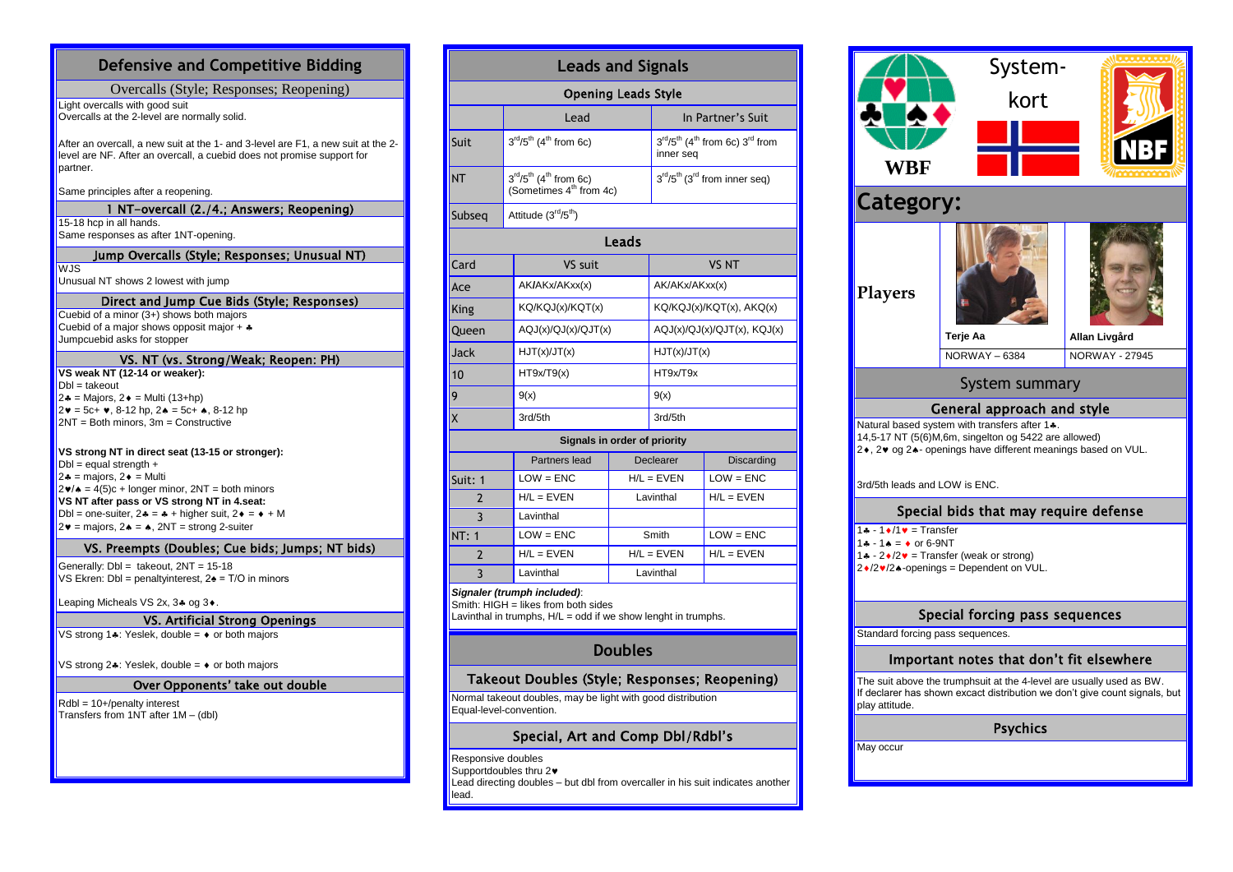# **Defensive and Competitive Bidding**

Overcalls (Style; Responses; Reopening)

Light overcalls with good suit Overcalls at the 2-level are normally solid.

After an overcall, a new suit at the 1- and 3-level are F1, a new suit at the 2 level are NF. After an overcall, a cuebid does not promise support for partner.

Same principles after a reopening.

## 1 NT-overcall (2./4.; Answers; Reopening)

15-18 hcp in all hands. Same responses as after 1NT-opening.

## Jump Overcalls (Style; Responses; Unusual NT)

 $WJS$ 

Unusual NT shows 2 lowest with jump

## Direct and Jump Cue Bids (Style; Responses)

Cuebid of a minor (3+) shows both majors Cuebid of a major shows opposit major  $+$   $*$ Jumpcuebid asks for stopper

### VS. NT (vs. Strong/Weak; Reopen: PH)

**VS weak NT (12-14 or weaker):**  $Dbl =$  takeout  $2* =$  Majors,  $2* =$  Multi (13+hp)  $2\mathbf{v} = 5c + \mathbf{v}$ , 8-12 hp,  $2\mathbf{A} = 5c + \mathbf{A}$ , 8-12 hp  $2NT = Both minors$ ,  $3m = Constructive$ 

### **VS strong NT in direct seat (13-15 or stronger):**

 $Dbl =$  equal strength  $+$  $2\cdot =$  majors,  $2\cdot =$  Multi  $2\blacktriangledown/\blacktriangle = 4(5)c +$  longer minor,  $2NT =$  both minors **VS NT after pass or VS strong NT in 4.seat:** Dbl = one-suiter,  $2 - 2 + \text{ higher suit}, 2 - \text{+ M}$  $2\mathbf{v}$  = majors,  $2\mathbf{A} = \mathbf{A}$ ,  $2NT =$  strong 2-suiter

### VS. Preempts (Doubles; Cue bids; Jumps; NT bids)

Generally: Dbl = takeout, 2NT = 15-18 VS Ekren: Dbl = penaltyinterest, 2♠ = T/O in minors

Leaping Micheals VS 2x,  $3*$  og  $3*$ .

## VS. Artificial Strong Openings

VS strong  $1$ : Yeslek, double =  $\bullet$  or both majors

VS strong 2 $\clubsuit$ : Yeslek, double =  $\bullet$  or both majors

## Over Opponents' take out double

Rdbl = 10+/penalty interest Transfers from 1NT after 1M – (dbl)

# **Leads and Signals**

| <b>Opening Leads Style</b>                                                 |                                                             |  |  |  |  |  |
|----------------------------------------------------------------------------|-------------------------------------------------------------|--|--|--|--|--|
| Lead                                                                       | In Partner's Suit                                           |  |  |  |  |  |
| $3^{rd}/5^{th}$ (4 <sup>th</sup> from 6c)                                  | $3rd/5th$ (4 <sup>th</sup> from 6c) $3rd$ from<br>inner sea |  |  |  |  |  |
| $3rd/5th$ (4 <sup>th</sup> from 6c)<br>(Sometimes 4 <sup>th</sup> from 4c) | $3rd/5th$ (3 <sup>rd</sup> from inner seq)                  |  |  |  |  |  |
| Attitude (3 <sup>rd</sup> /5 <sup>th</sup> )                               |                                                             |  |  |  |  |  |
| Leads                                                                      |                                                             |  |  |  |  |  |
| VS suit                                                                    | VS NT                                                       |  |  |  |  |  |
|                                                                            |                                                             |  |  |  |  |  |

| Ace     | AK/AKx/AKxx(x)      | AK/AKx/AKxx(x)                   |
|---------|---------------------|----------------------------------|
| King    | KQ/KQJ(x)/KQT(x)    | $KQ/KQJ(x)/KQT(x)$ , $AKQ(x)$    |
| Queen   | AQJ(x)/QJ(x)/QJT(x) | $AQJ(x)/QJ(x)/QJT(x)$ , $KQJ(x)$ |
| Jack    | HJT(x)/JT(x)        | HJT(x)/JT(x)                     |
| 10      | HT9x/T9(x)          | HT9x/T9x                         |
| 9       | 9(x)                | 9(x)                             |
| $\sf X$ | 3rd/5th             | 3rd/5th                          |

#### **Signals in order of priority**

|               | Partners lead | Declearer    | <b>Discarding</b> |
|---------------|---------------|--------------|-------------------|
| Suit: 1       | $LOW = ENC$   | $H/L = EVEN$ | $LOW = ENC$       |
| $\mathcal{P}$ | $H/L = EVEN$  | Lavinthal    | $H/L = EVEN$      |
| 3             | Lavinthal     |              |                   |
| <b>NT: 1</b>  | $LOW = ENC$   | Smith        | $LOW = ENC$       |
|               | $H/L = EVEN$  | $H/L = EVEN$ | $H/L = EVEN$      |
|               | Lavinthal     | Lavinthal    |                   |

### *Signaler (trumph included)*:

Smith: HIGH = likes from both sides Lavinthal in trumphs,  $H/L =$  odd if we show lenght in trumphs.

# **Doubles**

# Takeout Doubles (Style; Responses; Reopening)

Normal takeout doubles, may be light with good distribution Equal-level-convention.

# Special, Art and Comp Dbl/Rdbl's

Responsive doubles

Supportdoubles thru 2<sup>.</sup>

Lead directing doubles – but dbl from overcaller in his suit indicates another lead.

|                                                                                                                                                                       | System-                           |                                        |  |  |
|-----------------------------------------------------------------------------------------------------------------------------------------------------------------------|-----------------------------------|----------------------------------------|--|--|
|                                                                                                                                                                       | kort                              |                                        |  |  |
|                                                                                                                                                                       |                                   |                                        |  |  |
| WBF                                                                                                                                                                   |                                   |                                        |  |  |
| <b>Category:</b>                                                                                                                                                      |                                   |                                        |  |  |
| <b>Players</b>                                                                                                                                                        |                                   |                                        |  |  |
|                                                                                                                                                                       | Terje Aa<br><b>NORWAY-6384</b>    | Allan Livgård<br><b>NORWAY - 27945</b> |  |  |
| System summary                                                                                                                                                        |                                   |                                        |  |  |
|                                                                                                                                                                       | <b>General approach and style</b> |                                        |  |  |
| Natural based system with transfers after 1.4.<br>14,5-17 NT (5(6)M,6m, singelton og 5422 are allowed)<br>2•, 2• og 2▲ openings have different meanings based on VUL. |                                   |                                        |  |  |
| 3rd/5th leads and LOW is ENC.                                                                                                                                         |                                   |                                        |  |  |
| Special bids that may require defense                                                                                                                                 |                                   |                                        |  |  |
| $1 - 1$ + $/1$ $\bullet$ = Transfer<br>$1 - 1 - 1 = 1$ or 6-9NT<br>1. - $2\sqrt{2} =$ Transfer (weak or strong)<br>2◆/2◆/2◆-openings = Dependent on VUL.              |                                   |                                        |  |  |

# Special forcing pass sequences

Standard forcing pass sequences

## Important notes that don't fit elsewhere

The suit above the trumphsuit at the 4-level are usually used as BW. If declarer has shown excact distribution we don't give count signals, but play attitude.

**Psychics** 

May occur